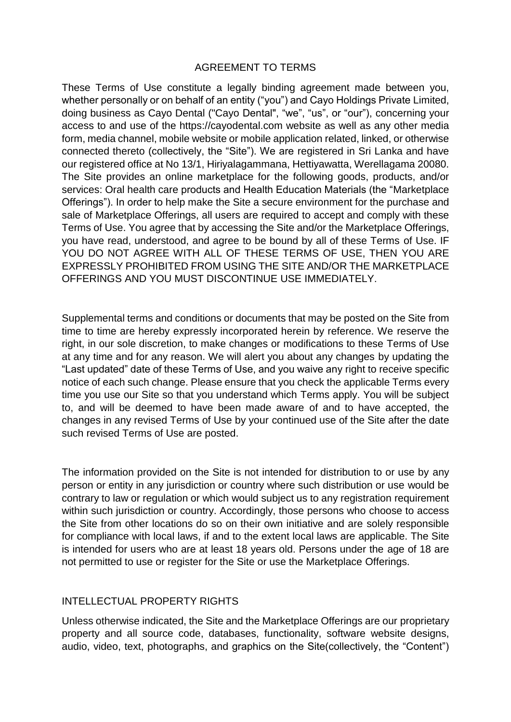#### AGREEMENT TO TERMS

These Terms of Use constitute a legally binding agreement made between you, whether personally or on behalf of an entity ("you") and Cayo Holdings Private Limited, doing business as Cayo Dental ("Cayo Dental", "we", "us", or "our"), concerning your access to and use of the https://cayodental.com website as well as any other media form, media channel, mobile website or mobile application related, linked, or otherwise connected thereto (collectively, the "Site"). We are registered in Sri Lanka and have our registered office at No 13/1, Hiriyalagammana, Hettiyawatta, Werellagama 20080. The Site provides an online marketplace for the following goods, products, and/or services: Oral health care products and Health Education Materials (the "Marketplace Offerings"). In order to help make the Site a secure environment for the purchase and sale of Marketplace Offerings, all users are required to accept and comply with these Terms of Use. You agree that by accessing the Site and/or the Marketplace Offerings, you have read, understood, and agree to be bound by all of these Terms of Use. IF YOU DO NOT AGREE WITH ALL OF THESE TERMS OF USE, THEN YOU ARE EXPRESSLY PROHIBITED FROM USING THE SITE AND/OR THE MARKETPLACE OFFERINGS AND YOU MUST DISCONTINUE USE IMMEDIATELY.

Supplemental terms and conditions or documents that may be posted on the Site from time to time are hereby expressly incorporated herein by reference. We reserve the right, in our sole discretion, to make changes or modifications to these Terms of Use at any time and for any reason. We will alert you about any changes by updating the "Last updated" date of these Terms of Use, and you waive any right to receive specific notice of each such change. Please ensure that you check the applicable Terms every time you use our Site so that you understand which Terms apply. You will be subject to, and will be deemed to have been made aware of and to have accepted, the changes in any revised Terms of Use by your continued use of the Site after the date such revised Terms of Use are posted.

The information provided on the Site is not intended for distribution to or use by any person or entity in any jurisdiction or country where such distribution or use would be contrary to law or regulation or which would subject us to any registration requirement within such jurisdiction or country. Accordingly, those persons who choose to access the Site from other locations do so on their own initiative and are solely responsible for compliance with local laws, if and to the extent local laws are applicable. The Site is intended for users who are at least 18 years old. Persons under the age of 18 are not permitted to use or register for the Site or use the Marketplace Offerings.

#### INTELLECTUAL PROPERTY RIGHTS

Unless otherwise indicated, the Site and the Marketplace Offerings are our proprietary property and all source code, databases, functionality, software website designs, audio, video, text, photographs, and graphics on the Site(collectively, the "Content")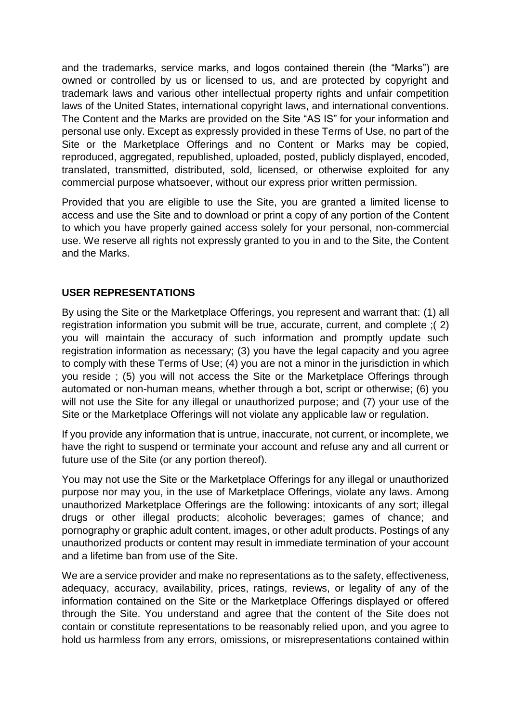and the trademarks, service marks, and logos contained therein (the "Marks") are owned or controlled by us or licensed to us, and are protected by copyright and trademark laws and various other intellectual property rights and unfair competition laws of the United States, international copyright laws, and international conventions. The Content and the Marks are provided on the Site "AS IS" for your information and personal use only. Except as expressly provided in these Terms of Use, no part of the Site or the Marketplace Offerings and no Content or Marks may be copied, reproduced, aggregated, republished, uploaded, posted, publicly displayed, encoded, translated, transmitted, distributed, sold, licensed, or otherwise exploited for any commercial purpose whatsoever, without our express prior written permission.

Provided that you are eligible to use the Site, you are granted a limited license to access and use the Site and to download or print a copy of any portion of the Content to which you have properly gained access solely for your personal, non-commercial use. We reserve all rights not expressly granted to you in and to the Site, the Content and the Marks.

### **USER REPRESENTATIONS**

By using the Site or the Marketplace Offerings, you represent and warrant that: (1) all registration information you submit will be true, accurate, current, and complete ;( 2) you will maintain the accuracy of such information and promptly update such registration information as necessary; (3) you have the legal capacity and you agree to comply with these Terms of Use; (4) you are not a minor in the jurisdiction in which you reside ; (5) you will not access the Site or the Marketplace Offerings through automated or non-human means, whether through a bot, script or otherwise; (6) you will not use the Site for any illegal or unauthorized purpose; and (7) your use of the Site or the Marketplace Offerings will not violate any applicable law or regulation.

If you provide any information that is untrue, inaccurate, not current, or incomplete, we have the right to suspend or terminate your account and refuse any and all current or future use of the Site (or any portion thereof).

You may not use the Site or the Marketplace Offerings for any illegal or unauthorized purpose nor may you, in the use of Marketplace Offerings, violate any laws. Among unauthorized Marketplace Offerings are the following: intoxicants of any sort; illegal drugs or other illegal products; alcoholic beverages; games of chance; and pornography or graphic adult content, images, or other adult products. Postings of any unauthorized products or content may result in immediate termination of your account and a lifetime ban from use of the Site.

We are a service provider and make no representations as to the safety, effectiveness, adequacy, accuracy, availability, prices, ratings, reviews, or legality of any of the information contained on the Site or the Marketplace Offerings displayed or offered through the Site. You understand and agree that the content of the Site does not contain or constitute representations to be reasonably relied upon, and you agree to hold us harmless from any errors, omissions, or misrepresentations contained within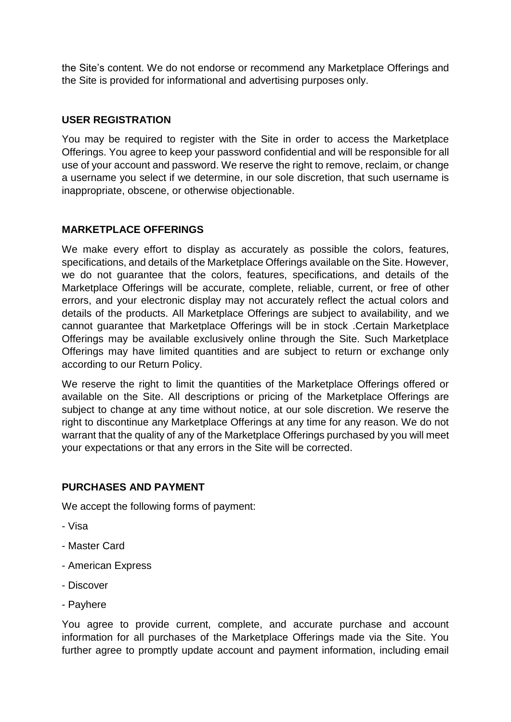the Site's content. We do not endorse or recommend any Marketplace Offerings and the Site is provided for informational and advertising purposes only.

### **USER REGISTRATION**

You may be required to register with the Site in order to access the Marketplace Offerings. You agree to keep your password confidential and will be responsible for all use of your account and password. We reserve the right to remove, reclaim, or change a username you select if we determine, in our sole discretion, that such username is inappropriate, obscene, or otherwise objectionable.

#### **MARKETPLACE OFFERINGS**

We make every effort to display as accurately as possible the colors, features, specifications, and details of the Marketplace Offerings available on the Site. However, we do not guarantee that the colors, features, specifications, and details of the Marketplace Offerings will be accurate, complete, reliable, current, or free of other errors, and your electronic display may not accurately reflect the actual colors and details of the products. All Marketplace Offerings are subject to availability, and we cannot guarantee that Marketplace Offerings will be in stock .Certain Marketplace Offerings may be available exclusively online through the Site. Such Marketplace Offerings may have limited quantities and are subject to return or exchange only according to our Return Policy.

We reserve the right to limit the quantities of the Marketplace Offerings offered or available on the Site. All descriptions or pricing of the Marketplace Offerings are subject to change at any time without notice, at our sole discretion. We reserve the right to discontinue any Marketplace Offerings at any time for any reason. We do not warrant that the quality of any of the Marketplace Offerings purchased by you will meet your expectations or that any errors in the Site will be corrected.

#### **PURCHASES AND PAYMENT**

We accept the following forms of payment:

- Visa
- Master Card
- American Express
- Discover
- Payhere

You agree to provide current, complete, and accurate purchase and account information for all purchases of the Marketplace Offerings made via the Site. You further agree to promptly update account and payment information, including email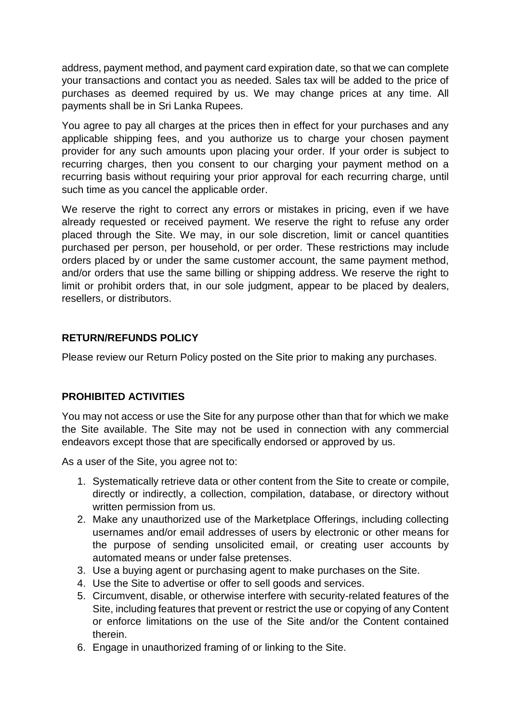address, payment method, and payment card expiration date, so that we can complete your transactions and contact you as needed. Sales tax will be added to the price of purchases as deemed required by us. We may change prices at any time. All payments shall be in Sri Lanka Rupees.

You agree to pay all charges at the prices then in effect for your purchases and any applicable shipping fees, and you authorize us to charge your chosen payment provider for any such amounts upon placing your order. If your order is subject to recurring charges, then you consent to our charging your payment method on a recurring basis without requiring your prior approval for each recurring charge, until such time as you cancel the applicable order.

We reserve the right to correct any errors or mistakes in pricing, even if we have already requested or received payment. We reserve the right to refuse any order placed through the Site. We may, in our sole discretion, limit or cancel quantities purchased per person, per household, or per order. These restrictions may include orders placed by or under the same customer account, the same payment method, and/or orders that use the same billing or shipping address. We reserve the right to limit or prohibit orders that, in our sole judgment, appear to be placed by dealers, resellers, or distributors.

### **RETURN/REFUNDS POLICY**

Please review our Return Policy posted on the Site prior to making any purchases.

# **PROHIBITED ACTIVITIES**

You may not access or use the Site for any purpose other than that for which we make the Site available. The Site may not be used in connection with any commercial endeavors except those that are specifically endorsed or approved by us.

As a user of the Site, you agree not to:

- 1. Systematically retrieve data or other content from the Site to create or compile, directly or indirectly, a collection, compilation, database, or directory without written permission from us.
- 2. Make any unauthorized use of the Marketplace Offerings, including collecting usernames and/or email addresses of users by electronic or other means for the purpose of sending unsolicited email, or creating user accounts by automated means or under false pretenses.
- 3. Use a buying agent or purchasing agent to make purchases on the Site.
- 4. Use the Site to advertise or offer to sell goods and services.
- 5. Circumvent, disable, or otherwise interfere with security-related features of the Site, including features that prevent or restrict the use or copying of any Content or enforce limitations on the use of the Site and/or the Content contained therein.
- 6. Engage in unauthorized framing of or linking to the Site.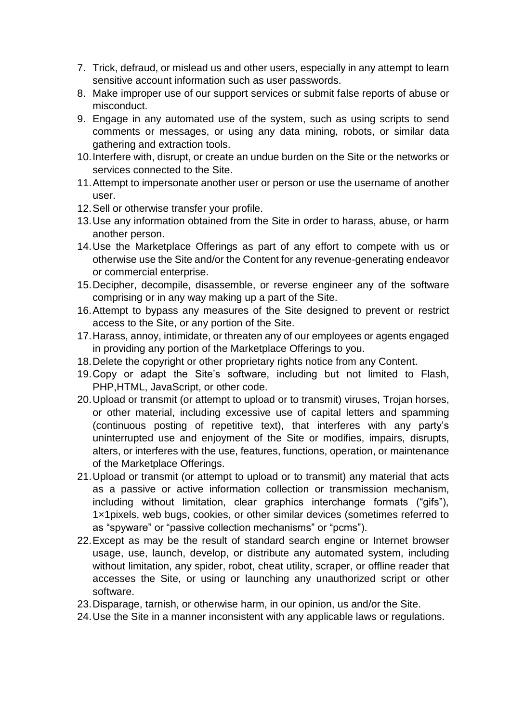- 7. Trick, defraud, or mislead us and other users, especially in any attempt to learn sensitive account information such as user passwords.
- 8. Make improper use of our support services or submit false reports of abuse or misconduct.
- 9. Engage in any automated use of the system, such as using scripts to send comments or messages, or using any data mining, robots, or similar data gathering and extraction tools.
- 10.Interfere with, disrupt, or create an undue burden on the Site or the networks or services connected to the Site.
- 11.Attempt to impersonate another user or person or use the username of another user.
- 12.Sell or otherwise transfer your profile.
- 13.Use any information obtained from the Site in order to harass, abuse, or harm another person.
- 14.Use the Marketplace Offerings as part of any effort to compete with us or otherwise use the Site and/or the Content for any revenue-generating endeavor or commercial enterprise.
- 15.Decipher, decompile, disassemble, or reverse engineer any of the software comprising or in any way making up a part of the Site.
- 16.Attempt to bypass any measures of the Site designed to prevent or restrict access to the Site, or any portion of the Site.
- 17.Harass, annoy, intimidate, or threaten any of our employees or agents engaged in providing any portion of the Marketplace Offerings to you.
- 18.Delete the copyright or other proprietary rights notice from any Content.
- 19.Copy or adapt the Site's software, including but not limited to Flash, PHP,HTML, JavaScript, or other code.
- 20.Upload or transmit (or attempt to upload or to transmit) viruses, Trojan horses, or other material, including excessive use of capital letters and spamming (continuous posting of repetitive text), that interferes with any party's uninterrupted use and enjoyment of the Site or modifies, impairs, disrupts, alters, or interferes with the use, features, functions, operation, or maintenance of the Marketplace Offerings.
- 21.Upload or transmit (or attempt to upload or to transmit) any material that acts as a passive or active information collection or transmission mechanism, including without limitation, clear graphics interchange formats ("gifs"), 1×1pixels, web bugs, cookies, or other similar devices (sometimes referred to as "spyware" or "passive collection mechanisms" or "pcms").
- 22.Except as may be the result of standard search engine or Internet browser usage, use, launch, develop, or distribute any automated system, including without limitation, any spider, robot, cheat utility, scraper, or offline reader that accesses the Site, or using or launching any unauthorized script or other software.
- 23.Disparage, tarnish, or otherwise harm, in our opinion, us and/or the Site.
- 24.Use the Site in a manner inconsistent with any applicable laws or regulations.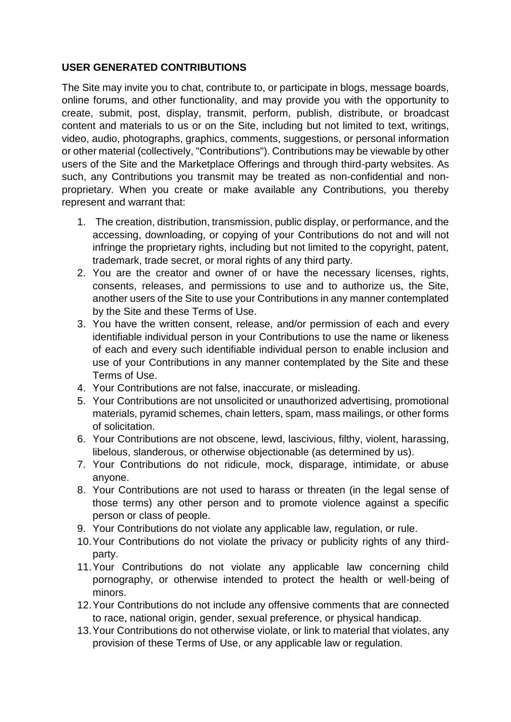### **USER GENERATED CONTRIBUTIONS**

The Site may invite you to chat, contribute to, or participate in blogs, message boards, online forums, and other functionality, and may provide you with the opportunity to create, submit, post, display, transmit, perform, publish, distribute, or broadcast content and materials to us or on the Site, including but not limited to text, writings, video, audio, photographs, graphics, comments, suggestions, or personal information or other material (collectively, "Contributions"). Contributions may be viewable by other users of the Site and the Marketplace Offerings and through third-party websites. As such, any Contributions you transmit may be treated as non-confidential and nonproprietary. When you create or make available any Contributions, you thereby represent and warrant that:

- 1. The creation, distribution, transmission, public display, or performance, and the accessing, downloading, or copying of your Contributions do not and will not infringe the proprietary rights, including but not limited to the copyright, patent, trademark, trade secret, or moral rights of any third party.
- 2. You are the creator and owner of or have the necessary licenses, rights, consents, releases, and permissions to use and to authorize us, the Site, another users of the Site to use your Contributions in any manner contemplated by the Site and these Terms of Use.
- 3. You have the written consent, release, and/or permission of each and every identifiable individual person in your Contributions to use the name or likeness of each and every such identifiable individual person to enable inclusion and use of your Contributions in any manner contemplated by the Site and these Terms of Use.
- 4. Your Contributions are not false, inaccurate, or misleading.
- 5. Your Contributions are not unsolicited or unauthorized advertising, promotional materials, pyramid schemes, chain letters, spam, mass mailings, or other forms of solicitation.
- 6. Your Contributions are not obscene, lewd, lascivious, filthy, violent, harassing, libelous, slanderous, or otherwise objectionable (as determined by us).
- 7. Your Contributions do not ridicule, mock, disparage, intimidate, or abuse anyone.
- 8. Your Contributions are not used to harass or threaten (in the legal sense of those terms) any other person and to promote violence against a specific person or class of people.
- 9. Your Contributions do not violate any applicable law, regulation, or rule.
- 10.Your Contributions do not violate the privacy or publicity rights of any thirdparty.
- 11.Your Contributions do not violate any applicable law concerning child pornography, or otherwise intended to protect the health or well-being of minors.
- 12.Your Contributions do not include any offensive comments that are connected to race, national origin, gender, sexual preference, or physical handicap.
- 13.Your Contributions do not otherwise violate, or link to material that violates, any provision of these Terms of Use, or any applicable law or regulation.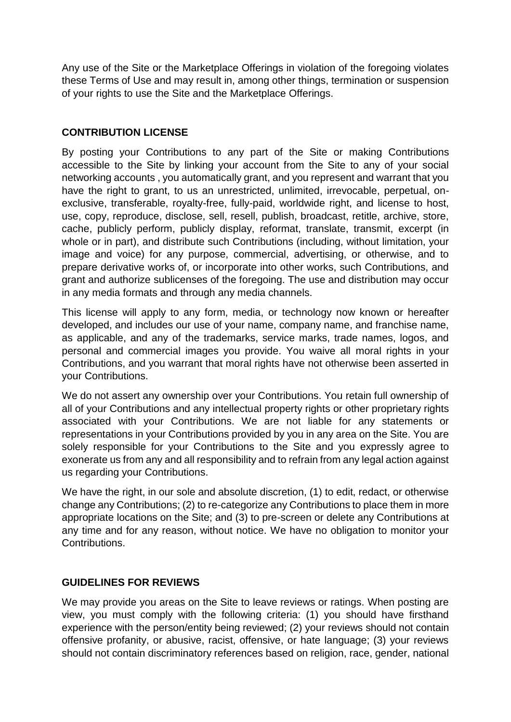Any use of the Site or the Marketplace Offerings in violation of the foregoing violates these Terms of Use and may result in, among other things, termination or suspension of your rights to use the Site and the Marketplace Offerings.

### **CONTRIBUTION LICENSE**

By posting your Contributions to any part of the Site or making Contributions accessible to the Site by linking your account from the Site to any of your social networking accounts , you automatically grant, and you represent and warrant that you have the right to grant, to us an unrestricted, unlimited, irrevocable, perpetual, onexclusive, transferable, royalty-free, fully-paid, worldwide right, and license to host, use, copy, reproduce, disclose, sell, resell, publish, broadcast, retitle, archive, store, cache, publicly perform, publicly display, reformat, translate, transmit, excerpt (in whole or in part), and distribute such Contributions (including, without limitation, your image and voice) for any purpose, commercial, advertising, or otherwise, and to prepare derivative works of, or incorporate into other works, such Contributions, and grant and authorize sublicenses of the foregoing. The use and distribution may occur in any media formats and through any media channels.

This license will apply to any form, media, or technology now known or hereafter developed, and includes our use of your name, company name, and franchise name, as applicable, and any of the trademarks, service marks, trade names, logos, and personal and commercial images you provide. You waive all moral rights in your Contributions, and you warrant that moral rights have not otherwise been asserted in your Contributions.

We do not assert any ownership over your Contributions. You retain full ownership of all of your Contributions and any intellectual property rights or other proprietary rights associated with your Contributions. We are not liable for any statements or representations in your Contributions provided by you in any area on the Site. You are solely responsible for your Contributions to the Site and you expressly agree to exonerate us from any and all responsibility and to refrain from any legal action against us regarding your Contributions.

We have the right, in our sole and absolute discretion, (1) to edit, redact, or otherwise change any Contributions; (2) to re-categorize any Contributions to place them in more appropriate locations on the Site; and (3) to pre-screen or delete any Contributions at any time and for any reason, without notice. We have no obligation to monitor your Contributions.

#### **GUIDELINES FOR REVIEWS**

We may provide you areas on the Site to leave reviews or ratings. When posting are view, you must comply with the following criteria: (1) you should have firsthand experience with the person/entity being reviewed; (2) your reviews should not contain offensive profanity, or abusive, racist, offensive, or hate language; (3) your reviews should not contain discriminatory references based on religion, race, gender, national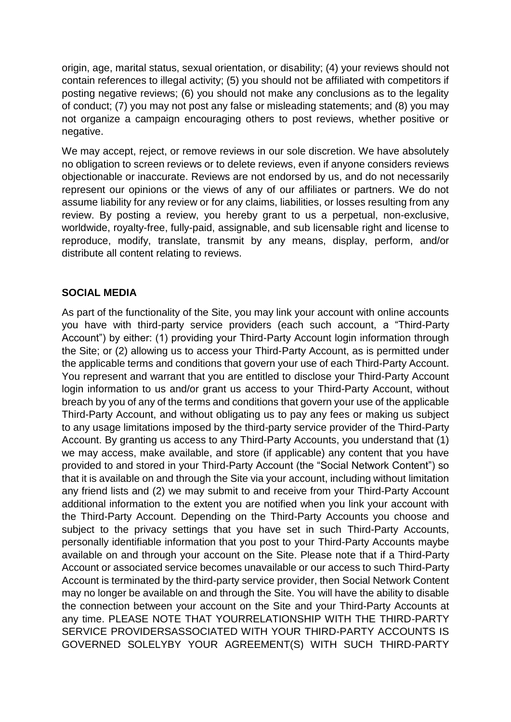origin, age, marital status, sexual orientation, or disability; (4) your reviews should not contain references to illegal activity; (5) you should not be affiliated with competitors if posting negative reviews; (6) you should not make any conclusions as to the legality of conduct; (7) you may not post any false or misleading statements; and (8) you may not organize a campaign encouraging others to post reviews, whether positive or negative.

We may accept, reject, or remove reviews in our sole discretion. We have absolutely no obligation to screen reviews or to delete reviews, even if anyone considers reviews objectionable or inaccurate. Reviews are not endorsed by us, and do not necessarily represent our opinions or the views of any of our affiliates or partners. We do not assume liability for any review or for any claims, liabilities, or losses resulting from any review. By posting a review, you hereby grant to us a perpetual, non-exclusive, worldwide, royalty-free, fully-paid, assignable, and sub licensable right and license to reproduce, modify, translate, transmit by any means, display, perform, and/or distribute all content relating to reviews.

#### **SOCIAL MEDIA**

As part of the functionality of the Site, you may link your account with online accounts you have with third-party service providers (each such account, a "Third-Party Account") by either: (1) providing your Third-Party Account login information through the Site; or (2) allowing us to access your Third-Party Account, as is permitted under the applicable terms and conditions that govern your use of each Third-Party Account. You represent and warrant that you are entitled to disclose your Third-Party Account login information to us and/or grant us access to your Third-Party Account, without breach by you of any of the terms and conditions that govern your use of the applicable Third-Party Account, and without obligating us to pay any fees or making us subject to any usage limitations imposed by the third-party service provider of the Third-Party Account. By granting us access to any Third-Party Accounts, you understand that (1) we may access, make available, and store (if applicable) any content that you have provided to and stored in your Third-Party Account (the "Social Network Content") so that it is available on and through the Site via your account, including without limitation any friend lists and (2) we may submit to and receive from your Third-Party Account additional information to the extent you are notified when you link your account with the Third-Party Account. Depending on the Third-Party Accounts you choose and subject to the privacy settings that you have set in such Third-Party Accounts, personally identifiable information that you post to your Third-Party Accounts maybe available on and through your account on the Site. Please note that if a Third-Party Account or associated service becomes unavailable or our access to such Third-Party Account is terminated by the third-party service provider, then Social Network Content may no longer be available on and through the Site. You will have the ability to disable the connection between your account on the Site and your Third-Party Accounts at any time. PLEASE NOTE THAT YOURRELATIONSHIP WITH THE THIRD-PARTY SERVICE PROVIDERSASSOCIATED WITH YOUR THIRD-PARTY ACCOUNTS IS GOVERNED SOLELYBY YOUR AGREEMENT(S) WITH SUCH THIRD-PARTY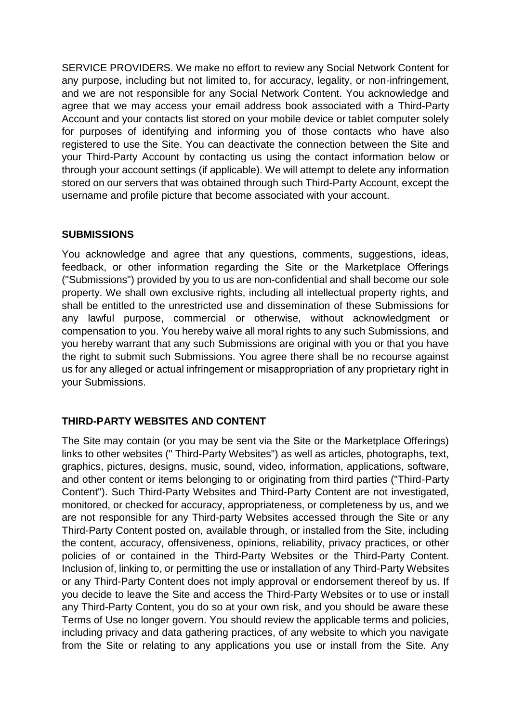SERVICE PROVIDERS. We make no effort to review any Social Network Content for any purpose, including but not limited to, for accuracy, legality, or non-infringement, and we are not responsible for any Social Network Content. You acknowledge and agree that we may access your email address book associated with a Third-Party Account and your contacts list stored on your mobile device or tablet computer solely for purposes of identifying and informing you of those contacts who have also registered to use the Site. You can deactivate the connection between the Site and your Third-Party Account by contacting us using the contact information below or through your account settings (if applicable). We will attempt to delete any information stored on our servers that was obtained through such Third-Party Account, except the username and profile picture that become associated with your account.

### **SUBMISSIONS**

You acknowledge and agree that any questions, comments, suggestions, ideas, feedback, or other information regarding the Site or the Marketplace Offerings ("Submissions") provided by you to us are non-confidential and shall become our sole property. We shall own exclusive rights, including all intellectual property rights, and shall be entitled to the unrestricted use and dissemination of these Submissions for any lawful purpose, commercial or otherwise, without acknowledgment or compensation to you. You hereby waive all moral rights to any such Submissions, and you hereby warrant that any such Submissions are original with you or that you have the right to submit such Submissions. You agree there shall be no recourse against us for any alleged or actual infringement or misappropriation of any proprietary right in your Submissions.

# **THIRD-PARTY WEBSITES AND CONTENT**

The Site may contain (or you may be sent via the Site or the Marketplace Offerings) links to other websites (" Third-Party Websites") as well as articles, photographs, text, graphics, pictures, designs, music, sound, video, information, applications, software, and other content or items belonging to or originating from third parties ("Third-Party Content"). Such Third-Party Websites and Third-Party Content are not investigated, monitored, or checked for accuracy, appropriateness, or completeness by us, and we are not responsible for any Third-party Websites accessed through the Site or any Third-Party Content posted on, available through, or installed from the Site, including the content, accuracy, offensiveness, opinions, reliability, privacy practices, or other policies of or contained in the Third-Party Websites or the Third-Party Content. Inclusion of, linking to, or permitting the use or installation of any Third-Party Websites or any Third-Party Content does not imply approval or endorsement thereof by us. If you decide to leave the Site and access the Third-Party Websites or to use or install any Third-Party Content, you do so at your own risk, and you should be aware these Terms of Use no longer govern. You should review the applicable terms and policies, including privacy and data gathering practices, of any website to which you navigate from the Site or relating to any applications you use or install from the Site. Any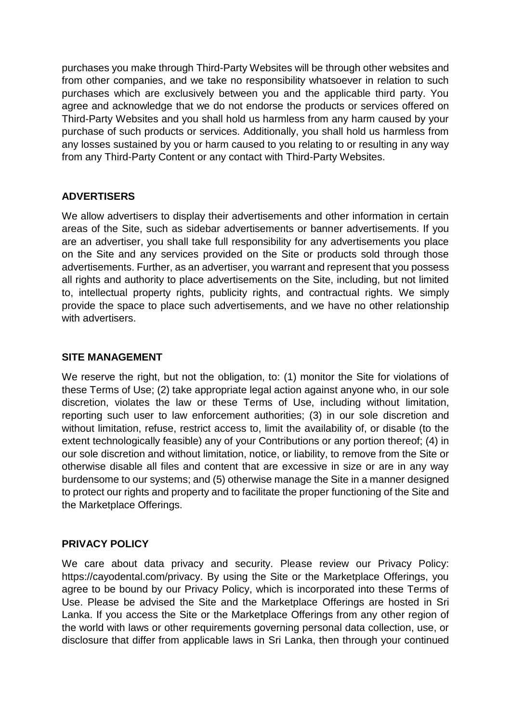purchases you make through Third-Party Websites will be through other websites and from other companies, and we take no responsibility whatsoever in relation to such purchases which are exclusively between you and the applicable third party. You agree and acknowledge that we do not endorse the products or services offered on Third-Party Websites and you shall hold us harmless from any harm caused by your purchase of such products or services. Additionally, you shall hold us harmless from any losses sustained by you or harm caused to you relating to or resulting in any way from any Third-Party Content or any contact with Third-Party Websites.

# **ADVERTISERS**

We allow advertisers to display their advertisements and other information in certain areas of the Site, such as sidebar advertisements or banner advertisements. If you are an advertiser, you shall take full responsibility for any advertisements you place on the Site and any services provided on the Site or products sold through those advertisements. Further, as an advertiser, you warrant and represent that you possess all rights and authority to place advertisements on the Site, including, but not limited to, intellectual property rights, publicity rights, and contractual rights. We simply provide the space to place such advertisements, and we have no other relationship with advertisers.

### **SITE MANAGEMENT**

We reserve the right, but not the obligation, to: (1) monitor the Site for violations of these Terms of Use; (2) take appropriate legal action against anyone who, in our sole discretion, violates the law or these Terms of Use, including without limitation, reporting such user to law enforcement authorities; (3) in our sole discretion and without limitation, refuse, restrict access to, limit the availability of, or disable (to the extent technologically feasible) any of your Contributions or any portion thereof; (4) in our sole discretion and without limitation, notice, or liability, to remove from the Site or otherwise disable all files and content that are excessive in size or are in any way burdensome to our systems; and (5) otherwise manage the Site in a manner designed to protect our rights and property and to facilitate the proper functioning of the Site and the Marketplace Offerings.

# **PRIVACY POLICY**

We care about data privacy and security. Please review our Privacy Policy: https://cayodental.com/privacy. By using the Site or the Marketplace Offerings, you agree to be bound by our Privacy Policy, which is incorporated into these Terms of Use. Please be advised the Site and the Marketplace Offerings are hosted in Sri Lanka. If you access the Site or the Marketplace Offerings from any other region of the world with laws or other requirements governing personal data collection, use, or disclosure that differ from applicable laws in Sri Lanka, then through your continued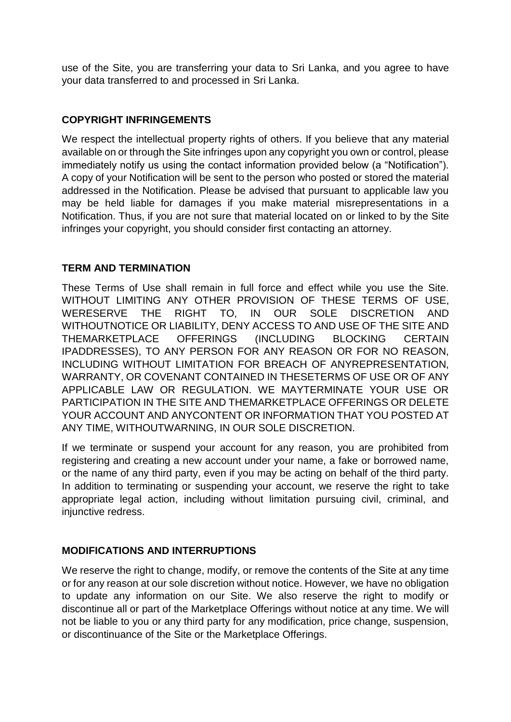use of the Site, you are transferring your data to Sri Lanka, and you agree to have your data transferred to and processed in Sri Lanka.

### **COPYRIGHT INFRINGEMENTS**

We respect the intellectual property rights of others. If you believe that any material available on or through the Site infringes upon any copyright you own or control, please immediately notify us using the contact information provided below (a "Notification"). A copy of your Notification will be sent to the person who posted or stored the material addressed in the Notification. Please be advised that pursuant to applicable law you may be held liable for damages if you make material misrepresentations in a Notification. Thus, if you are not sure that material located on or linked to by the Site infringes your copyright, you should consider first contacting an attorney.

# **TERM AND TERMINATION**

These Terms of Use shall remain in full force and effect while you use the Site. WITHOUT LIMITING ANY OTHER PROVISION OF THESE TERMS OF USE, WERESERVE THE RIGHT TO, IN OUR SOLE DISCRETION AND WITHOUTNOTICE OR LIABILITY, DENY ACCESS TO AND USE OF THE SITE AND THEMARKETPLACE OFFERINGS (INCLUDING BLOCKING CERTAIN IPADDRESSES), TO ANY PERSON FOR ANY REASON OR FOR NO REASON, INCLUDING WITHOUT LIMITATION FOR BREACH OF ANYREPRESENTATION, WARRANTY, OR COVENANT CONTAINED IN THESETERMS OF USE OR OF ANY APPLICABLE LAW OR REGULATION. WE MAYTERMINATE YOUR USE OR PARTICIPATION IN THE SITE AND THEMARKETPLACE OFFERINGS OR DELETE YOUR ACCOUNT AND ANYCONTENT OR INFORMATION THAT YOU POSTED AT ANY TIME, WITHOUTWARNING, IN OUR SOLE DISCRETION.

If we terminate or suspend your account for any reason, you are prohibited from registering and creating a new account under your name, a fake or borrowed name, or the name of any third party, even if you may be acting on behalf of the third party. In addition to terminating or suspending your account, we reserve the right to take appropriate legal action, including without limitation pursuing civil, criminal, and injunctive redress.

### **MODIFICATIONS AND INTERRUPTIONS**

We reserve the right to change, modify, or remove the contents of the Site at any time or for any reason at our sole discretion without notice. However, we have no obligation to update any information on our Site. We also reserve the right to modify or discontinue all or part of the Marketplace Offerings without notice at any time. We will not be liable to you or any third party for any modification, price change, suspension, or discontinuance of the Site or the Marketplace Offerings.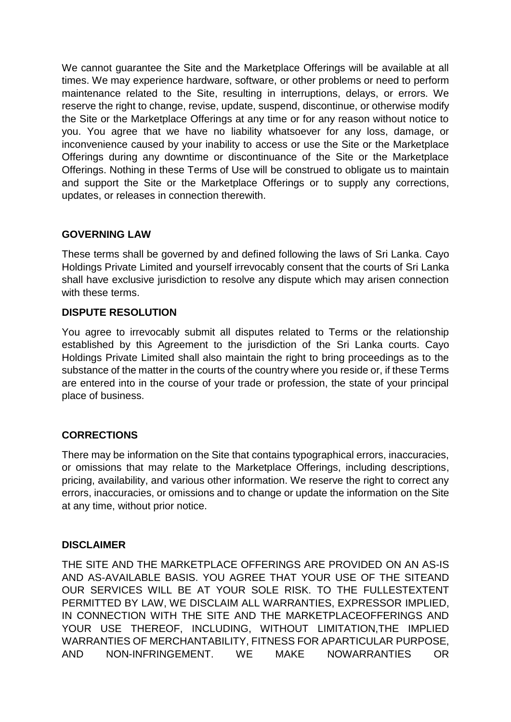We cannot guarantee the Site and the Marketplace Offerings will be available at all times. We may experience hardware, software, or other problems or need to perform maintenance related to the Site, resulting in interruptions, delays, or errors. We reserve the right to change, revise, update, suspend, discontinue, or otherwise modify the Site or the Marketplace Offerings at any time or for any reason without notice to you. You agree that we have no liability whatsoever for any loss, damage, or inconvenience caused by your inability to access or use the Site or the Marketplace Offerings during any downtime or discontinuance of the Site or the Marketplace Offerings. Nothing in these Terms of Use will be construed to obligate us to maintain and support the Site or the Marketplace Offerings or to supply any corrections, updates, or releases in connection therewith.

# **GOVERNING LAW**

These terms shall be governed by and defined following the laws of Sri Lanka. Cayo Holdings Private Limited and yourself irrevocably consent that the courts of Sri Lanka shall have exclusive jurisdiction to resolve any dispute which may arisen connection with these terms.

#### **DISPUTE RESOLUTION**

You agree to irrevocably submit all disputes related to Terms or the relationship established by this Agreement to the jurisdiction of the Sri Lanka courts. Cayo Holdings Private Limited shall also maintain the right to bring proceedings as to the substance of the matter in the courts of the country where you reside or, if these Terms are entered into in the course of your trade or profession, the state of your principal place of business.

# **CORRECTIONS**

There may be information on the Site that contains typographical errors, inaccuracies, or omissions that may relate to the Marketplace Offerings, including descriptions, pricing, availability, and various other information. We reserve the right to correct any errors, inaccuracies, or omissions and to change or update the information on the Site at any time, without prior notice.

#### **DISCLAIMER**

THE SITE AND THE MARKETPLACE OFFERINGS ARE PROVIDED ON AN AS-IS AND AS-AVAILABLE BASIS. YOU AGREE THAT YOUR USE OF THE SITEAND OUR SERVICES WILL BE AT YOUR SOLE RISK. TO THE FULLESTEXTENT PERMITTED BY LAW, WE DISCLAIM ALL WARRANTIES, EXPRESSOR IMPLIED, IN CONNECTION WITH THE SITE AND THE MARKETPLACEOFFERINGS AND YOUR USE THEREOF, INCLUDING, WITHOUT LIMITATION,THE IMPLIED WARRANTIES OF MERCHANTABILITY, FITNESS FOR APARTICULAR PURPOSE, AND NON-INFRINGEMENT. WE MAKE NOWARRANTIES OR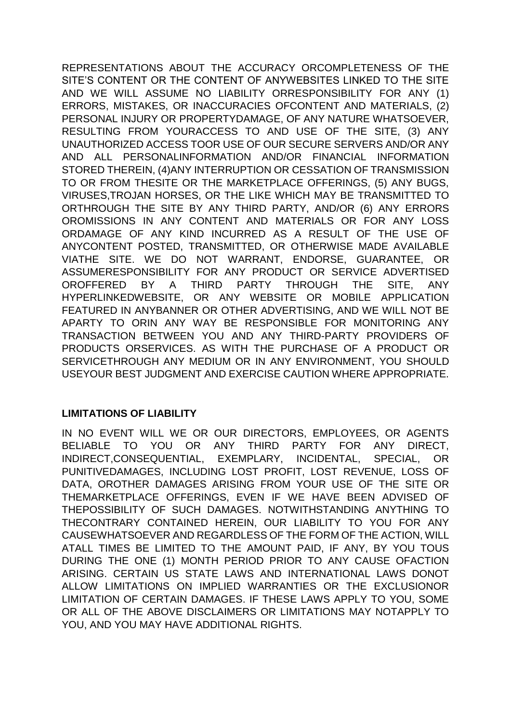REPRESENTATIONS ABOUT THE ACCURACY ORCOMPLETENESS OF THE SITE'S CONTENT OR THE CONTENT OF ANYWEBSITES LINKED TO THE SITE AND WE WILL ASSUME NO LIABILITY ORRESPONSIBILITY FOR ANY (1) ERRORS, MISTAKES, OR INACCURACIES OFCONTENT AND MATERIALS, (2) PERSONAL INJURY OR PROPERTYDAMAGE, OF ANY NATURE WHATSOEVER, RESULTING FROM YOURACCESS TO AND USE OF THE SITE, (3) ANY UNAUTHORIZED ACCESS TOOR USE OF OUR SECURE SERVERS AND/OR ANY AND ALL PERSONALINFORMATION AND/OR FINANCIAL INFORMATION STORED THEREIN, (4)ANY INTERRUPTION OR CESSATION OF TRANSMISSION TO OR FROM THESITE OR THE MARKETPLACE OFFERINGS, (5) ANY BUGS, VIRUSES,TROJAN HORSES, OR THE LIKE WHICH MAY BE TRANSMITTED TO ORTHROUGH THE SITE BY ANY THIRD PARTY, AND/OR (6) ANY ERRORS OROMISSIONS IN ANY CONTENT AND MATERIALS OR FOR ANY LOSS ORDAMAGE OF ANY KIND INCURRED AS A RESULT OF THE USE OF ANYCONTENT POSTED, TRANSMITTED, OR OTHERWISE MADE AVAILABLE VIATHE SITE. WE DO NOT WARRANT, ENDORSE, GUARANTEE, OR ASSUMERESPONSIBILITY FOR ANY PRODUCT OR SERVICE ADVERTISED OROFFERED BY A THIRD PARTY THROUGH THE SITE, ANY HYPERLINKEDWEBSITE, OR ANY WEBSITE OR MOBILE APPLICATION FEATURED IN ANYBANNER OR OTHER ADVERTISING, AND WE WILL NOT BE APARTY TO ORIN ANY WAY BE RESPONSIBLE FOR MONITORING ANY TRANSACTION BETWEEN YOU AND ANY THIRD-PARTY PROVIDERS OF PRODUCTS ORSERVICES. AS WITH THE PURCHASE OF A PRODUCT OR SERVICETHROUGH ANY MEDIUM OR IN ANY ENVIRONMENT, YOU SHOULD USEYOUR BEST JUDGMENT AND EXERCISE CAUTION WHERE APPROPRIATE.

# **LIMITATIONS OF LIABILITY**

IN NO EVENT WILL WE OR OUR DIRECTORS, EMPLOYEES, OR AGENTS BELIABLE TO YOU OR ANY THIRD PARTY FOR ANY DIRECT, INDIRECT,CONSEQUENTIAL, EXEMPLARY, INCIDENTAL, SPECIAL, OR PUNITIVEDAMAGES, INCLUDING LOST PROFIT, LOST REVENUE, LOSS OF DATA, OROTHER DAMAGES ARISING FROM YOUR USE OF THE SITE OR THEMARKETPLACE OFFERINGS, EVEN IF WE HAVE BEEN ADVISED OF THEPOSSIBILITY OF SUCH DAMAGES. NOTWITHSTANDING ANYTHING TO THECONTRARY CONTAINED HEREIN, OUR LIABILITY TO YOU FOR ANY CAUSEWHATSOEVER AND REGARDLESS OF THE FORM OF THE ACTION, WILL ATALL TIMES BE LIMITED TO THE AMOUNT PAID, IF ANY, BY YOU TOUS DURING THE ONE (1) MONTH PERIOD PRIOR TO ANY CAUSE OFACTION ARISING. CERTAIN US STATE LAWS AND INTERNATIONAL LAWS DONOT ALLOW LIMITATIONS ON IMPLIED WARRANTIES OR THE EXCLUSIONOR LIMITATION OF CERTAIN DAMAGES. IF THESE LAWS APPLY TO YOU, SOME OR ALL OF THE ABOVE DISCLAIMERS OR LIMITATIONS MAY NOTAPPLY TO YOU, AND YOU MAY HAVE ADDITIONAL RIGHTS.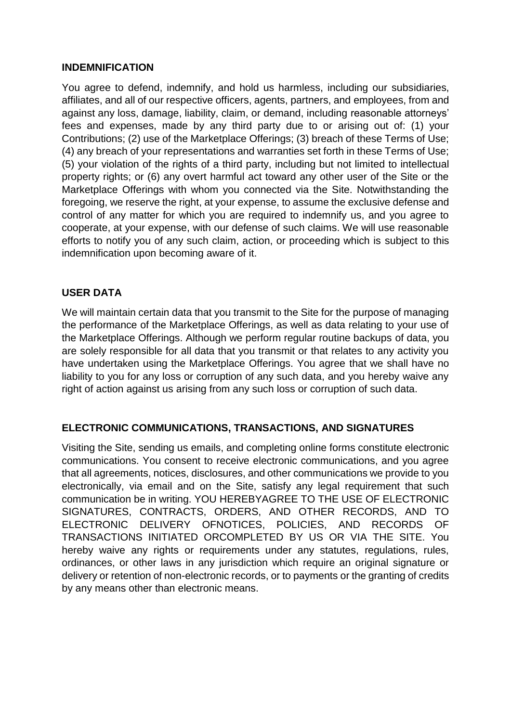#### **INDEMNIFICATION**

You agree to defend, indemnify, and hold us harmless, including our subsidiaries, affiliates, and all of our respective officers, agents, partners, and employees, from and against any loss, damage, liability, claim, or demand, including reasonable attorneys' fees and expenses, made by any third party due to or arising out of: (1) your Contributions; (2) use of the Marketplace Offerings; (3) breach of these Terms of Use; (4) any breach of your representations and warranties set forth in these Terms of Use; (5) your violation of the rights of a third party, including but not limited to intellectual property rights; or (6) any overt harmful act toward any other user of the Site or the Marketplace Offerings with whom you connected via the Site. Notwithstanding the foregoing, we reserve the right, at your expense, to assume the exclusive defense and control of any matter for which you are required to indemnify us, and you agree to cooperate, at your expense, with our defense of such claims. We will use reasonable efforts to notify you of any such claim, action, or proceeding which is subject to this indemnification upon becoming aware of it.

### **USER DATA**

We will maintain certain data that you transmit to the Site for the purpose of managing the performance of the Marketplace Offerings, as well as data relating to your use of the Marketplace Offerings. Although we perform regular routine backups of data, you are solely responsible for all data that you transmit or that relates to any activity you have undertaken using the Marketplace Offerings. You agree that we shall have no liability to you for any loss or corruption of any such data, and you hereby waive any right of action against us arising from any such loss or corruption of such data.

# **ELECTRONIC COMMUNICATIONS, TRANSACTIONS, AND SIGNATURES**

Visiting the Site, sending us emails, and completing online forms constitute electronic communications. You consent to receive electronic communications, and you agree that all agreements, notices, disclosures, and other communications we provide to you electronically, via email and on the Site, satisfy any legal requirement that such communication be in writing. YOU HEREBYAGREE TO THE USE OF ELECTRONIC SIGNATURES, CONTRACTS, ORDERS, AND OTHER RECORDS, AND TO ELECTRONIC DELIVERY OFNOTICES, POLICIES, AND RECORDS OF TRANSACTIONS INITIATED ORCOMPLETED BY US OR VIA THE SITE. You hereby waive any rights or requirements under any statutes, regulations, rules, ordinances, or other laws in any jurisdiction which require an original signature or delivery or retention of non-electronic records, or to payments or the granting of credits by any means other than electronic means.